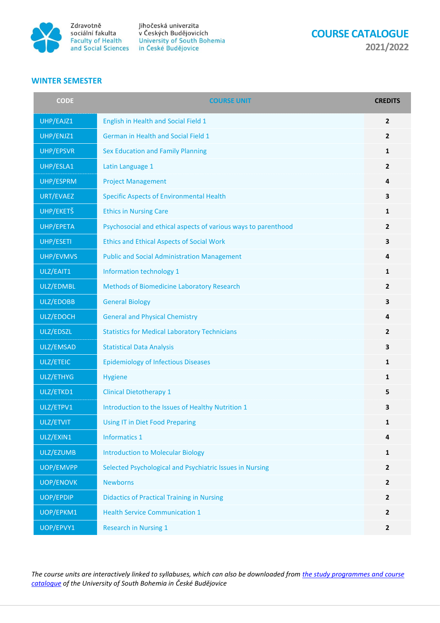

Jihočeská univerzita Zdravotně Jihočeská univerzita<br>sociální fakulta v Českých Budějovicích<br>Faculty of Health University of South Bohemia<br>and Social Sciences in České Budějovice

**COURSE CATALOGUE 2021/2022**

## **WINTER SEMESTER**

| <b>CODE</b>      | <b>COURSE UNIT</b>                                             | <b>CREDITS</b>          |
|------------------|----------------------------------------------------------------|-------------------------|
| UHP/EAJZ1        | English in Health and Social Field 1                           | $\overline{2}$          |
| UHP/ENJZ1        | <b>German in Health and Social Field 1</b>                     | $\mathbf{2}$            |
| UHP/EPSVR        | Sex Education and Family Planning                              | 1                       |
| UHP/ESLA1        | Latin Language 1                                               | $\overline{2}$          |
| UHP/ESPRM        | <b>Project Management</b>                                      | 4                       |
| URT/EVAEZ        | <b>Specific Aspects of Environmental Health</b>                | $\overline{\mathbf{3}}$ |
| UHP/EKETŠ        | <b>Ethics in Nursing Care</b>                                  | 1                       |
| UHP/EPETA        | Psychosocial and ethical aspects of various ways to parenthood | $\mathbf{2}$            |
| UHP/ESETI        | <b>Ethics and Ethical Aspects of Social Work</b>               | $\overline{\mathbf{3}}$ |
| UHP/EVMVS        | <b>Public and Social Administration Management</b>             | 4                       |
| ULZ/EAIT1        | Information technology 1                                       | 1                       |
| ULZ/EDMBL        | Methods of Biomedicine Laboratory Research                     | $\overline{2}$          |
| ULZ/EDOBB        | <b>General Biology</b>                                         | $\overline{\mathbf{3}}$ |
| ULZ/EDOCH        | <b>General and Physical Chemistry</b>                          | 4                       |
| ULZ/EDSZL        | <b>Statistics for Medical Laboratory Technicians</b>           | $\overline{2}$          |
| ULZ/EMSAD        | <b>Statistical Data Analysis</b>                               | 3                       |
| ULZ/ETEIC        | <b>Epidemiology of Infectious Diseases</b>                     | 1                       |
| ULZ/ETHYG        | <b>Hygiene</b>                                                 | 1                       |
| ULZ/ETKD1        | <b>Clinical Dietotherapy 1</b>                                 | 5                       |
| ULZ/ETPV1        | Introduction to the Issues of Healthy Nutrition 1              | 3                       |
| ULZ/ETVIT        | Using IT in Diet Food Preparing                                | 1                       |
| ULZ/EXIN1        | <b>Informatics 1</b>                                           | 4                       |
| ULZ/EZUMB        | <b>Introduction to Molecular Biology</b>                       | 1                       |
| UOP/EMVPP        | Selected Psychological and Psychiatric Issues in Nursing       | $\overline{2}$          |
| <b>UOP/ENOVK</b> | <b>Newborns</b>                                                | $\overline{2}$          |
| <b>UOP/EPDIP</b> | <b>Didactics of Practical Training in Nursing</b>              | $\mathbf{2}$            |
| UOP/EPKM1        | <b>Health Service Communication 1</b>                          | $\mathbf{2}$            |
| UOP/EPVY1        | <b>Research in Nursing 1</b>                                   | $\overline{2}$          |

*The course units are interactively linked to syllabuses, which can also be downloaded from [the study programmes and course](https://wstag.jcu.cz/ects/?lang=en)  [catalogue](https://wstag.jcu.cz/ects/?lang=en) of the University of South Bohemia in České Budějovice*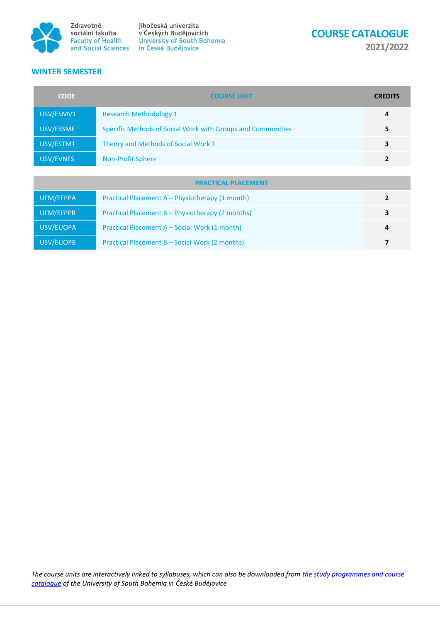

Jihočeská univerzita v Českých Budějovicích Faculty of Health<br>
and Social Sciences<br>
in České Budějovice

**COURSE CATALOGUE** 

**2021/2022**

## **WINTER SEMESTER**

| <b>CODE</b>                | <b>COURSE UNIT</b>                                          | <b>CREDITS</b> |
|----------------------------|-------------------------------------------------------------|----------------|
| USV/ESMV1                  | <b>Research Methodology 1</b>                               | 4              |
| USV/ESSME                  | Specific Methods of Social Work with Groups and Communities | 5              |
| USV/ESTM1                  | Theory and Methods of Social Work 1                         | 3              |
| USV/EVNES                  | <b>Non-Profit Sphere</b>                                    | $\mathbf{2}$   |
|                            |                                                             |                |
| <b>PRACTICAL PLACEMENT</b> |                                                             |                |
| UFM/EFPPA                  | Practical Placement A – Physiotherapy (1 month)             | $\overline{2}$ |
| UFM/EFPPB                  | Practical Placement B - Physiotherapy (2 months)            | 3              |
| USV/EUOPA                  | Practical Placement A – Social Work (1 month)               | 4              |
| USV/EUOPB                  | Practical Placement B - Social Work (2 months)              | 7              |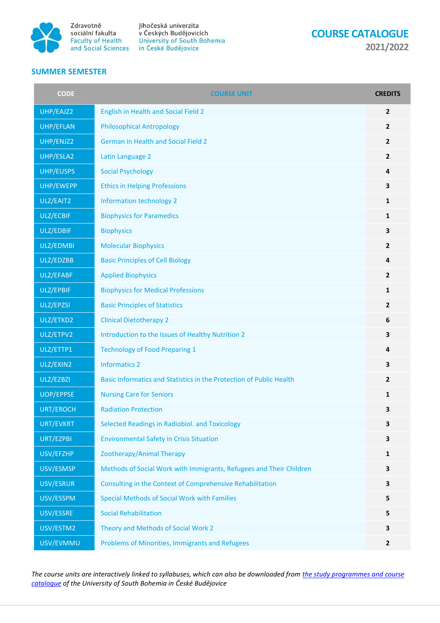

Jihočeská univerzita v Českých Budějovicích Socialm Takuta<br>Faculty of Health University of South Bohemia<br>and Social Sciences in České Budějovice

**COURSE CATALOGUE** 

**2021/2022**

## **SUMMER SEMESTER**

| <b>CODE</b>      | <b>COURSE UNIT</b>                                                  | <b>CREDITS</b> |
|------------------|---------------------------------------------------------------------|----------------|
| UHP/EAJZ2        | English in Health and Social Field 2                                | $\overline{2}$ |
| UHP/EFLAN        | <b>Philosophical Antropology</b>                                    | $\overline{2}$ |
| UHP/ENJZ2        | <b>German in Health and Social Field 2</b>                          | $\overline{2}$ |
| UHP/ESLA2        | Latin Language 2                                                    | $\overline{2}$ |
| UHP/EUSPS        | <b>Social Psychology</b>                                            | 4              |
| UHP/EWEPP        | <b>Ethics in Helping Professions</b>                                | 3              |
| ULZ/EAIT2        | Information technology 2                                            | 1              |
| ULZ/ECBIF        | <b>Biophysics for Paramedics</b>                                    | 1              |
| ULZ/EDBIF        | <b>Biophysics</b>                                                   | 3              |
| ULZ/EDMBI        | <b>Molecular Biophysics</b>                                         | $\overline{2}$ |
| ULZ/EDZBB        | <b>Basic Principles of Cell Biology</b>                             | 4              |
| ULZ/EFABF        | <b>Applied Biophysics</b>                                           | $\overline{2}$ |
| ULZ/EPBIF        | <b>Biophysics for Medical Professions</b>                           | 1              |
| ULZ/EPZSI        | <b>Basic Principles of Statistics</b>                               | $\overline{2}$ |
| ULZ/ETKD2        | <b>Clinical Dietotherapy 2</b>                                      | 6              |
| ULZ/ETPV2        | Introduction to the Issues of Healthy Nutrition 2                   | 3              |
| ULZ/ETTP1        | <b>Technology of Food Preparing 1</b>                               | 4              |
| ULZ/EXIN2        | <b>Informatics 2</b>                                                | 3              |
| ULZ/EZBZI        | Basic Informatics and Statistics in the Protection of Public Health | $\overline{2}$ |
| <b>UOP/EPPSE</b> | <b>Nursing Care for Seniors</b>                                     | 1              |
| URT/EROCH        | <b>Radiation Protection</b>                                         | 3              |
| URT/EVKRT        | Selected Readings in Radiobiol. and Toxicology                      | 3              |
| URT/EZPBI        | <b>Environmental Safety in Crisis Situation</b>                     | 3              |
| USV/EFZHP        | Zootherapy/Animal Therapy                                           | 1              |
| USV/ESMSP        | Methods of Social Work with Immigrants, Refugees and Their Children | 3              |
| USV/ESRUR        | Consulting in the Context of Comprehensive Rehabilitation           | 3              |
| USV/ESSPM        | <b>Special Methods of Social Work with Families</b>                 | 5              |
| USV/ESSRE        | <b>Social Rehabilitation</b>                                        | 5              |
| USV/ESTM2        | Theory and Methods of Social Work 2                                 | 3              |
| USV/EVMMU        | Problems of Minorities, Immigrants and Refugees                     | $\mathbf{2}$   |

*The course units are interactively linked to syllabuses, which can also be downloaded from [the study programmes and course](https://wstag.jcu.cz/ects/?lang=en)  [catalogue](https://wstag.jcu.cz/ects/?lang=en) of the University of South Bohemia in České Budějovice*